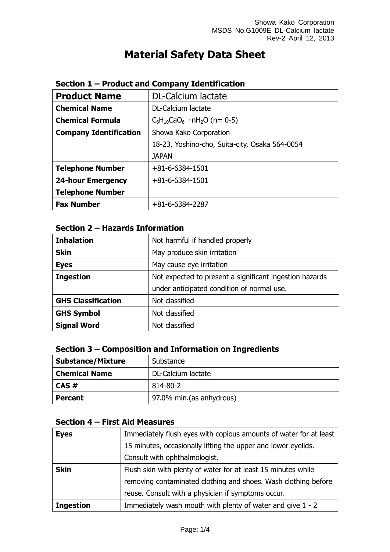# **Material Safety Data Sheet**

| <b>Product Name</b>           | DL-Calcium lactate                             |  |
|-------------------------------|------------------------------------------------|--|
| <b>Chemical Name</b>          | <b>DL-Calcium lactate</b>                      |  |
| <b>Chemical Formula</b>       | $C_6H_{10}CaO_6$ · nH <sub>2</sub> O (n= 0-5)  |  |
| <b>Company Identification</b> | Showa Kako Corporation                         |  |
|                               | 18-23, Yoshino-cho, Suita-city, Osaka 564-0054 |  |
|                               | <b>JAPAN</b>                                   |  |
| <b>Telephone Number</b>       | $+81 - 6 - 6384 - 1501$                        |  |
| <b>24-hour Emergency</b>      | $+81 - 6 - 6384 - 1501$                        |  |
| <b>Telephone Number</b>       |                                                |  |
| <b>Fax Number</b>             | $+81-6-6384-2287$                              |  |

### **Section 1 – Product and Company Identification**

## **Section 2 – Hazards Information**

| <b>Inhalation</b>         | Not harmful if handled properly                         |  |
|---------------------------|---------------------------------------------------------|--|
| <b>Skin</b>               | May produce skin irritation                             |  |
| <b>Eyes</b>               | May cause eye irritation                                |  |
| <b>Ingestion</b>          | Not expected to present a significant ingestion hazards |  |
|                           | under anticipated condition of normal use.              |  |
| <b>GHS Classification</b> | Not classified                                          |  |
| <b>GHS Symbol</b>         | Not classified                                          |  |
| <b>Signal Word</b>        | Not classified                                          |  |

## **Section 3 – Composition and Information on Ingredients**

| <b>Substance/Mixture</b> | Substance                |  |
|--------------------------|--------------------------|--|
| <b>Chemical Name</b>     | DL-Calcium lactate       |  |
| CAS#                     | 814-80-2                 |  |
| <b>Percent</b>           | 97.0% min.(as anhydrous) |  |

# **Section 4 – First Aid Measures**

| <b>Eyes</b>      | Immediately flush eyes with copious amounts of water for at least |  |
|------------------|-------------------------------------------------------------------|--|
|                  | 15 minutes, occasionally lifting the upper and lower eyelids.     |  |
|                  | Consult with ophthalmologist.                                     |  |
| <b>Skin</b>      | Flush skin with plenty of water for at least 15 minutes while     |  |
|                  | removing contaminated clothing and shoes. Wash clothing before    |  |
|                  | reuse. Consult with a physician if symptoms occur.                |  |
| <b>Ingestion</b> | Immediately wash mouth with plenty of water and give 1 - 2        |  |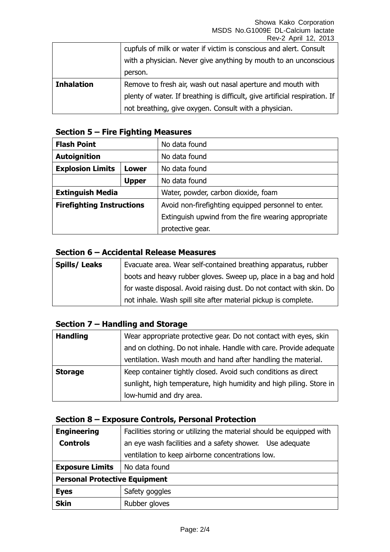|                   | cupfuls of milk or water if victim is conscious and alert. Consult<br>with a physician. Never give anything by mouth to an unconscious |
|-------------------|----------------------------------------------------------------------------------------------------------------------------------------|
|                   | person.                                                                                                                                |
| <b>Inhalation</b> | Remove to fresh air, wash out nasal aperture and mouth with                                                                            |
|                   | plenty of water. If breathing is difficult, give artificial respiration. If                                                            |
|                   | not breathing, give oxygen. Consult with a physician.                                                                                  |

# **Section 5 – Fire Fighting Measures**

| <b>Flash Point</b>                                             |              | No data found                                       |
|----------------------------------------------------------------|--------------|-----------------------------------------------------|
| <b>Autoignition</b>                                            |              | No data found                                       |
| <b>Explosion Limits</b><br>Lower                               |              | No data found                                       |
|                                                                | <b>Upper</b> | No data found                                       |
| <b>Extinguish Media</b><br>Water, powder, carbon dioxide, foam |              |                                                     |
| <b>Firefighting Instructions</b>                               |              | Avoid non-firefighting equipped personnel to enter. |
|                                                                |              | Extinguish upwind from the fire wearing appropriate |
|                                                                |              | protective gear.                                    |

### **Section 6 – Accidental Release Measures**

| <b>Spills/Leaks</b> | Evacuate area. Wear self-contained breathing apparatus, rubber       |
|---------------------|----------------------------------------------------------------------|
|                     | boots and heavy rubber gloves. Sweep up, place in a bag and hold     |
|                     | for waste disposal. Avoid raising dust. Do not contact with skin. Do |
|                     | not inhale. Wash spill site after material pickup is complete.       |

# **Section 7 – Handling and Storage**

| <b>Handling</b> | Wear appropriate protective gear. Do not contact with eyes, skin    |
|-----------------|---------------------------------------------------------------------|
|                 | and on clothing. Do not inhale. Handle with care. Provide adequate  |
|                 | ventilation. Wash mouth and hand after handling the material.       |
| <b>Storage</b>  | Keep container tightly closed. Avoid such conditions as direct      |
|                 | sunlight, high temperature, high humidity and high piling. Store in |
|                 | low-humid and dry area.                                             |

## **Section 8 – Exposure Controls, Personal Protection**

| <b>Engineering</b>                   | Facilities storing or utilizing the material should be equipped with |  |  |
|--------------------------------------|----------------------------------------------------------------------|--|--|
| <b>Controls</b>                      | an eye wash facilities and a safety shower. Use adequate             |  |  |
|                                      | ventilation to keep airborne concentrations low.                     |  |  |
| <b>Exposure Limits</b>               | No data found                                                        |  |  |
| <b>Personal Protective Equipment</b> |                                                                      |  |  |
| <b>Eyes</b>                          | Safety goggles                                                       |  |  |
| <b>Skin</b>                          | Rubber gloves                                                        |  |  |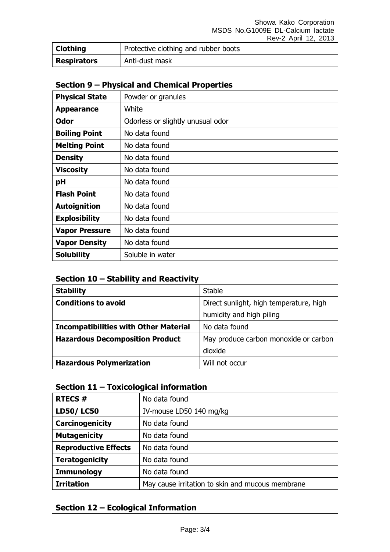| <b>Clothing</b>    | Protective clothing and rubber boots |  |
|--------------------|--------------------------------------|--|
| <b>Respirators</b> | Anti-dust mask                       |  |

# **Section 9 – Physical and Chemical Properties**

| <b>Physical State</b> | Powder or granules                |
|-----------------------|-----------------------------------|
| <b>Appearance</b>     | White                             |
| <b>Odor</b>           | Odorless or slightly unusual odor |
| <b>Boiling Point</b>  | No data found                     |
| <b>Melting Point</b>  | No data found                     |
| <b>Density</b>        | No data found                     |
| <b>Viscosity</b>      | No data found                     |
| pH                    | No data found                     |
| <b>Flash Point</b>    | No data found                     |
| <b>Autoignition</b>   | No data found                     |
| <b>Explosibility</b>  | No data found                     |
| <b>Vapor Pressure</b> | No data found                     |
| <b>Vapor Density</b>  | No data found                     |
| <b>Solubility</b>     | Soluble in water                  |

### **Section 10 – Stability and Reactivity**

| <b>Stability</b>                             | <b>Stable</b>                           |
|----------------------------------------------|-----------------------------------------|
| <b>Conditions to avoid</b>                   | Direct sunlight, high temperature, high |
|                                              | humidity and high piling                |
| <b>Incompatibilities with Other Material</b> | No data found                           |
| <b>Hazardous Decomposition Product</b>       | May produce carbon monoxide or carbon   |
|                                              | dioxide                                 |
| <b>Hazardous Polymerization</b>              | Will not occur                          |

# **Section 11 – Toxicological information**

| <b>RTECS#</b>               | No data found                                    |
|-----------------------------|--------------------------------------------------|
| <b>LD50/LC50</b>            | IV-mouse LD50 140 mg/kg                          |
| Carcinogenicity             | No data found                                    |
| <b>Mutagenicity</b>         | No data found                                    |
| <b>Reproductive Effects</b> | No data found                                    |
| <b>Teratogenicity</b>       | No data found                                    |
| <b>Immunology</b>           | No data found                                    |
| <b>Irritation</b>           | May cause irritation to skin and mucous membrane |

## **Section 12 – Ecological Information**